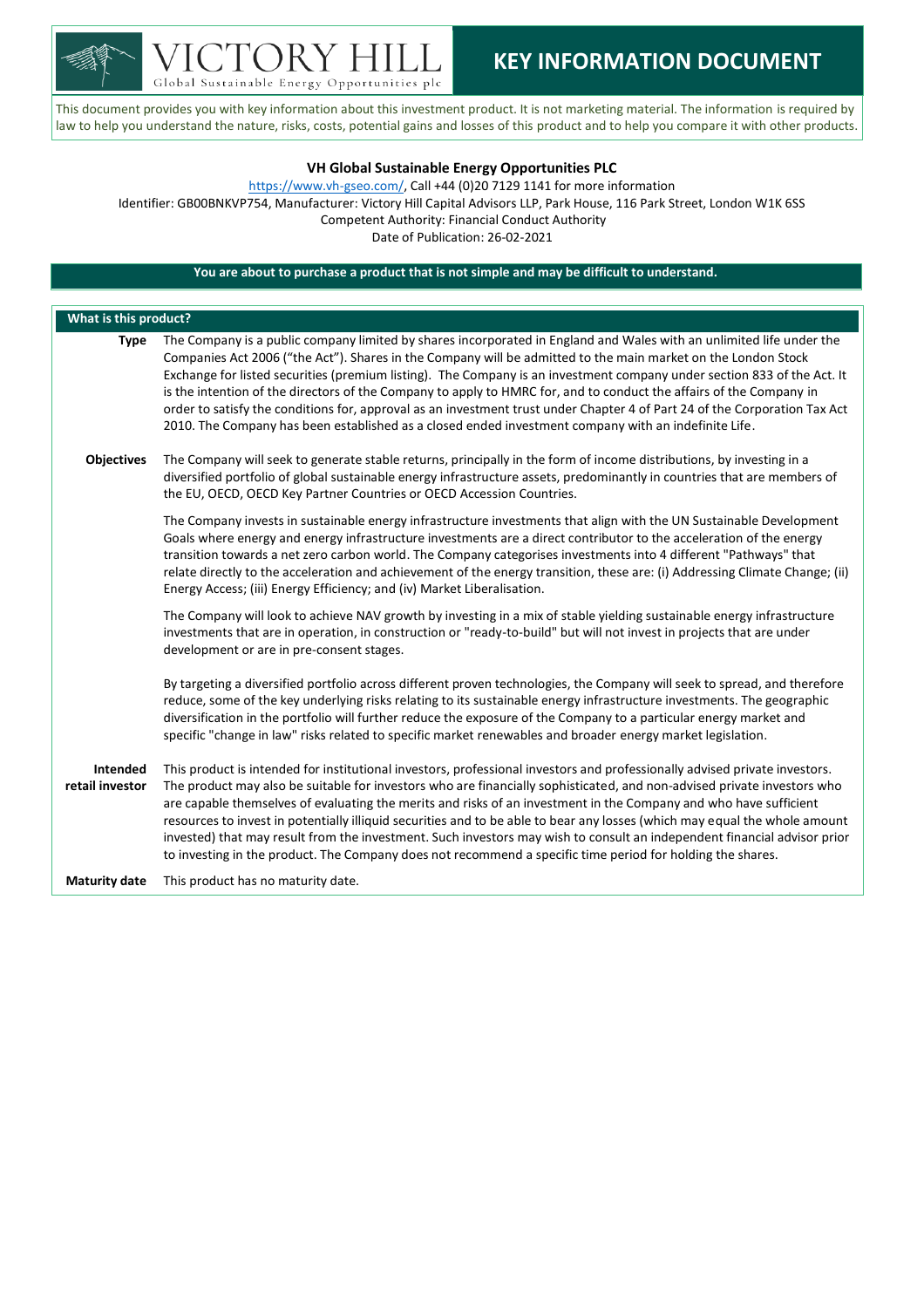

Global Sustainable Energy Opportunities plc

## **KEY INFORMATION DOCUMENT**

This document provides you with key information about this investment product. It is not marketing material. The information is required by law to help you understand the nature, risks, costs, potential gains and losses of this product and to help you compare it with other products.

## **VH Global Sustainable Energy Opportunities PLC**

[https://www.vh-gseo.com/,](https://www.vh-gseo.com/) Call +44 (0)20 7129 1141 for more information Identifier: GB00BNKVP754, Manufacturer: Victory Hill Capital Advisors LLP, Park House, 116 Park Street, London W1K 6SS Competent Authority: Financial Conduct Authority Date of Publication: 26-02-2021

## **You are about to purchase a product that is not simple and may be difficult to understand.**

| What is this product?              |                                                                                                                                                                                                                                                                                                                                                                                                                                                                                                                                                                                                                                                                                                                                                    |  |  |  |
|------------------------------------|----------------------------------------------------------------------------------------------------------------------------------------------------------------------------------------------------------------------------------------------------------------------------------------------------------------------------------------------------------------------------------------------------------------------------------------------------------------------------------------------------------------------------------------------------------------------------------------------------------------------------------------------------------------------------------------------------------------------------------------------------|--|--|--|
| <b>Type</b>                        | The Company is a public company limited by shares incorporated in England and Wales with an unlimited life under the<br>Companies Act 2006 ("the Act"). Shares in the Company will be admitted to the main market on the London Stock<br>Exchange for listed securities (premium listing). The Company is an investment company under section 833 of the Act. It<br>is the intention of the directors of the Company to apply to HMRC for, and to conduct the affairs of the Company in<br>order to satisfy the conditions for, approval as an investment trust under Chapter 4 of Part 24 of the Corporation Tax Act<br>2010. The Company has been established as a closed ended investment company with an indefinite Life.                      |  |  |  |
| <b>Objectives</b>                  | The Company will seek to generate stable returns, principally in the form of income distributions, by investing in a<br>diversified portfolio of global sustainable energy infrastructure assets, predominantly in countries that are members of<br>the EU, OECD, OECD Key Partner Countries or OECD Accession Countries.                                                                                                                                                                                                                                                                                                                                                                                                                          |  |  |  |
|                                    | The Company invests in sustainable energy infrastructure investments that align with the UN Sustainable Development<br>Goals where energy and energy infrastructure investments are a direct contributor to the acceleration of the energy<br>transition towards a net zero carbon world. The Company categorises investments into 4 different "Pathways" that<br>relate directly to the acceleration and achievement of the energy transition, these are: (i) Addressing Climate Change; (ii)<br>Energy Access; (iii) Energy Efficiency; and (iv) Market Liberalisation.                                                                                                                                                                          |  |  |  |
|                                    | The Company will look to achieve NAV growth by investing in a mix of stable yielding sustainable energy infrastructure<br>investments that are in operation, in construction or "ready-to-build" but will not invest in projects that are under<br>development or are in pre-consent stages.                                                                                                                                                                                                                                                                                                                                                                                                                                                       |  |  |  |
|                                    | By targeting a diversified portfolio across different proven technologies, the Company will seek to spread, and therefore<br>reduce, some of the key underlying risks relating to its sustainable energy infrastructure investments. The geographic<br>diversification in the portfolio will further reduce the exposure of the Company to a particular energy market and<br>specific "change in law" risks related to specific market renewables and broader energy market legislation.                                                                                                                                                                                                                                                           |  |  |  |
| <b>Intended</b><br>retail investor | This product is intended for institutional investors, professional investors and professionally advised private investors.<br>The product may also be suitable for investors who are financially sophisticated, and non-advised private investors who<br>are capable themselves of evaluating the merits and risks of an investment in the Company and who have sufficient<br>resources to invest in potentially illiquid securities and to be able to bear any losses (which may equal the whole amount<br>invested) that may result from the investment. Such investors may wish to consult an independent financial advisor prior<br>to investing in the product. The Company does not recommend a specific time period for holding the shares. |  |  |  |
| <b>Maturity date</b>               | This product has no maturity date.                                                                                                                                                                                                                                                                                                                                                                                                                                                                                                                                                                                                                                                                                                                 |  |  |  |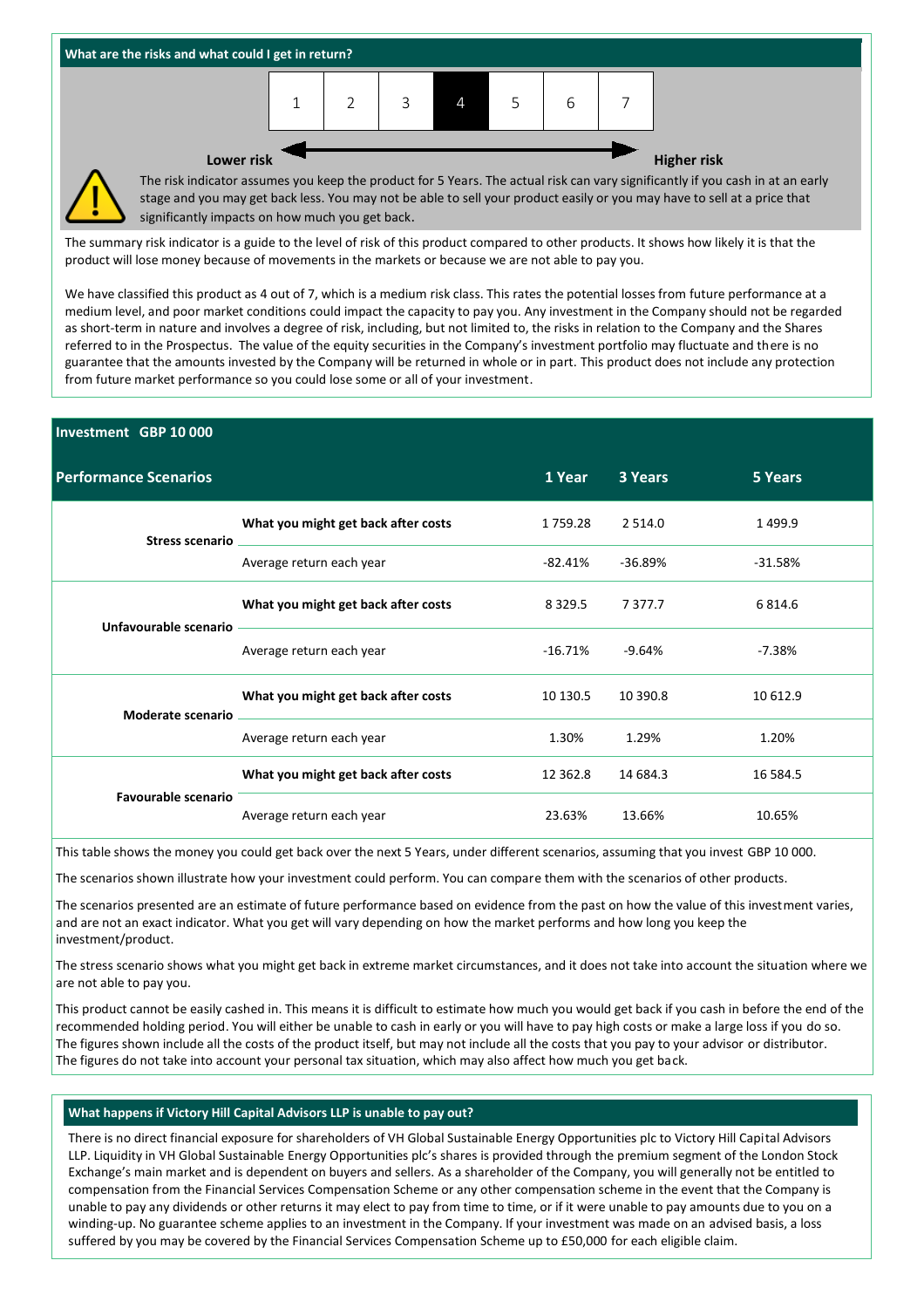

The summary risk indicator is a guide to the level of risk of this product compared to other products. It shows how likely it is that the product will lose money because of movements in the markets or because we are not able to pay you.

We have classified this product as 4 out of 7, which is a medium risk class. This rates the potential losses from future performance at a medium level, and poor market conditions could impact the capacity to pay you. Any investment in the Company should not be regarded as short-term in nature and involves a degree of risk, including, but not limited to, the risks in relation to the Company and the Shares referred to in the Prospectus. The value of the equity securities in the Company's investment portfolio may fluctuate and there is no guarantee that the amounts invested by the Company will be returned in whole or in part. This product does not include any protection from future market performance so you could lose some or all of your investment.

# **Investment GBP 10 000 Performance Scenarios 1 Year 3 Years 5 Years Stress scenario What you might get back after costs** 1 759.28 2 514.0 1 499.9 Average return each year -82.41% -36.89% -31.58% **Unfavourable scenario What you might get back after costs** 8 329.5 7 377.7 6 814.6 Average return each year -16.71% -9.64% -7.38% **Moderate scenario What you might get back after costs** 10 130.5 10 390.8 10 612.9 Average return each year 1.30% 1.30% 1.29% 1.20% **Favourable scenario What you might get back after costs** 12 362.8 14 684.3 16 584.5 Average return each year 10.65% 13.66% 13.66% 10.65%

This table shows the money you could get back over the next 5 Years, under different scenarios, assuming that you invest GBP 10 000.

The scenarios shown illustrate how your investment could perform. You can compare them with the scenarios of other products.

The scenarios presented are an estimate of future performance based on evidence from the past on how the value of this investment varies, and are not an exact indicator. What you get will vary depending on how the market performs and how long you keep the investment/product.

The stress scenario shows what you might get back in extreme market circumstances, and it does not take into account the situation where we are not able to pay you.

This product cannot be easily cashed in. This means it is difficult to estimate how much you would get back if you cash in before the end of the recommended holding period. You will either be unable to cash in early or you will have to pay high costs or make a large loss if you do so. The figures shown include all the costs of the product itself, but may not include all the costs that you pay to your advisor or distributor. The figures do not take into account your personal tax situation, which may also affect how much you get back.

### **What happens if Victory Hill Capital Advisors LLP is unable to pay out?**

There is no direct financial exposure for shareholders of VH Global Sustainable Energy Opportunities plc to Victory Hill Capital Advisors LLP. Liquidity in VH Global Sustainable Energy Opportunities plc's shares is provided through the premium segment of the London Stock Exchange's main market and is dependent on buyers and sellers. As a shareholder of the Company, you will generally not be entitled to compensation from the Financial Services Compensation Scheme or any other compensation scheme in the event that the Company is unable to pay any dividends or other returns it may elect to pay from time to time, or if it were unable to pay amounts due to you on a winding-up. No guarantee scheme applies to an investment in the Company. If your investment was made on an advised basis, a loss suffered by you may be covered by the Financial Services Compensation Scheme up to £50,000 for each eligible claim.